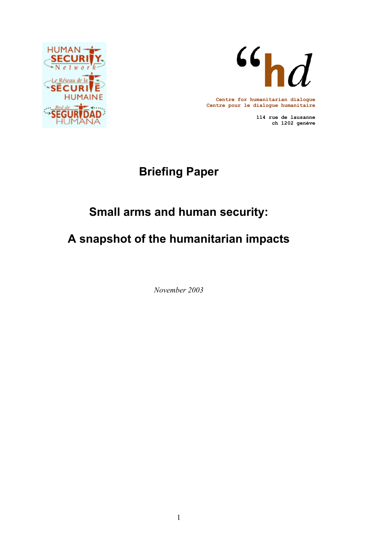



**Centre for humanitarian dialogue Centre pour le dialogue humanitaire**

> **114 rue de lausanne ch 1202 genève**

# **Briefing Paper**

# **Small arms and human security:**

# **A snapshot of the humanitarian impacts**

*November 2003*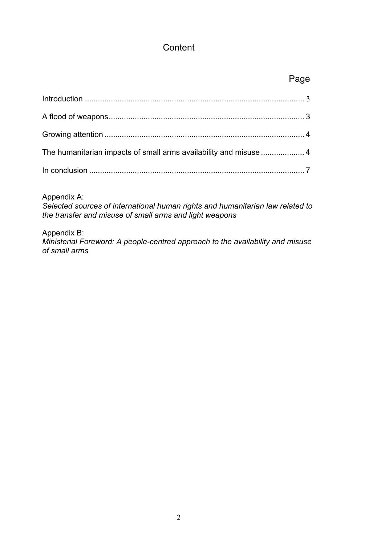## **Content**

# and the contract of the contract of the contract of the contract of the contract of the contract of the contract of the contract of the contract of the contract of the contract of the contract of the contract of the contra

| The humanitarian impacts of small arms availability and misuse  4 |  |
|-------------------------------------------------------------------|--|
|                                                                   |  |

Appendix A:

*Selected sources of international human rights and humanitarian law related to the transfer and misuse of small arms and light weapons* 

Appendix B:

*Ministerial Foreword: A people-centred approach to the availability and misuse of small arms*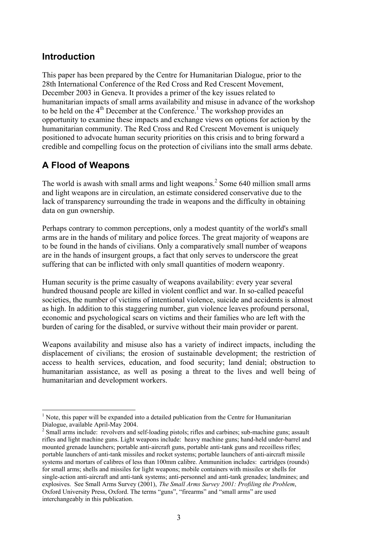## **Introduction**

This paper has been prepared by the Centre for Humanitarian Dialogue, prior to the 28th International Conference of the Red Cross and Red Crescent Movement, December 2003 in Geneva. It provides a primer of the key issues related to humanitarian impacts of small arms availability and misuse in advance of the workshop to be held on the  $4<sup>th</sup>$  December at the Conference.<sup>1</sup> The workshop provides an opportunity to examine these impacts and exchange views on options for action by the humanitarian community. The Red Cross and Red Crescent Movement is uniquely positioned to advocate human security priorities on this crisis and to bring forward a credible and compelling focus on the protection of civilians into the small arms debate.

# **A Flood of Weapons**

 $\overline{a}$ 

The world is awash with small arms and light weapons.<sup>2</sup> Some 640 million small arms and light weapons are in circulation, an estimate considered conservative due to the lack of transparency surrounding the trade in weapons and the difficulty in obtaining data on gun ownership.

Perhaps contrary to common perceptions, only a modest quantity of the world's small arms are in the hands of military and police forces. The great majority of weapons are to be found in the hands of civilians. Only a comparatively small number of weapons are in the hands of insurgent groups, a fact that only serves to underscore the great suffering that can be inflicted with only small quantities of modern weaponry.

Human security is the prime casualty of weapons availability: every year several hundred thousand people are killed in violent conflict and war. In so-called peaceful societies, the number of victims of intentional violence, suicide and accidents is almost as high. In addition to this staggering number, gun violence leaves profound personal, economic and psychological scars on victims and their families who are left with the burden of caring for the disabled, or survive without their main provider or parent.

Weapons availability and misuse also has a variety of indirect impacts, including the displacement of civilians; the erosion of sustainable development; the restriction of access to health services, education, and food security; land denial; obstruction to humanitarian assistance, as well as posing a threat to the lives and well being of humanitarian and development workers.

 $<sup>1</sup>$  Note, this paper will be expanded into a detailed publication from the Centre for Humanitarian</sup> Dialogue, available April-May 2004.

<sup>&</sup>lt;sup>2</sup> Small arms include: revolvers and self-loading pistols; rifles and carbines; sub-machine guns; assault rifles and light machine guns. Light weapons include: heavy machine guns; hand-held under-barrel and mounted grenade launchers; portable anti-aircraft guns, portable anti-tank guns and recoilless rifles; portable launchers of anti-tank missiles and rocket systems; portable launchers of anti-aircraft missile systems and mortars of calibres of less than 100mm calibre. Ammunition includes: cartridges (rounds) for small arms; shells and missiles for light weapons; mobile containers with missiles or shells for single-action anti-aircraft and anti-tank systems; anti-personnel and anti-tank grenades; landmines; and explosives. See Small Arms Survey (2001), *The Small Arms Survey 2001: Profiling the Problem*, Oxford University Press, Oxford. The terms "guns", "firearms" and "small arms" are used interchangeably in this publication.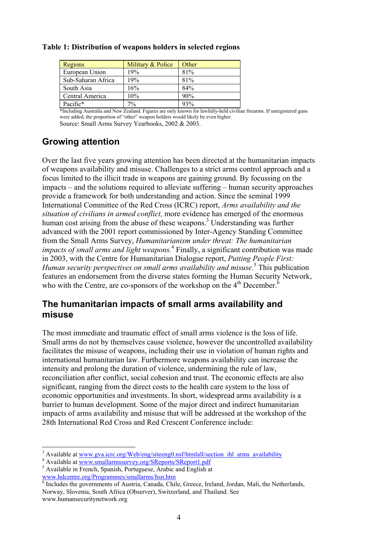| Regions            | Military & Police | Other |
|--------------------|-------------------|-------|
| European Union     | 19%               | 81%   |
| Sub-Saharan Africa | 19%               | 81%   |
| South Asia         | 16%               | 84%   |
| Central America    | 10%               | 90%   |
| Pacific*           | 7%                | 93%   |

#### **Table 1: Distribution of weapons holders in selected regions**

\*Including Australia and New Zealand. Figures are only known for lawfully-held civilian firearms. If unregistered guns were added, the proportion of "other" weapon holders would likely be even higher. Source: Small Arms Survey Yearbooks, 2002 & 2003.

# **Growing attention**

Over the last five years growing attention has been directed at the humanitarian impacts of weapons availability and misuse. Challenges to a strict arms control approach and a focus limited to the illicit trade in weapons are gaining ground. By focussing on the impacts – and the solutions required to alleviate suffering – human security approaches provide a framework for both understanding and action. Since the seminal 1999 International Committee of the Red Cross (ICRC) report, *Arms availability and the situation of civilians in armed conflict,* more evidence has emerged of the enormous human cost arising from the abuse of these weapons.<sup>3</sup> Understanding was further advanced with the 2001 report commissioned by Inter-Agency Standing Committee from the Small Arms Survey, *Humanitarianism under threat: The humanitarian impacts of small arms and light weapons.*<sup>4</sup> Finally, a significant contribution was made in 2003, with the Centre for Humanitarian Dialogue report, *Putting People First: Human security perspectives on small arms availability and misuse*. 5 This publication features an endorsement from the diverse states forming the Human Security Network, who with the Centre, are co-sponsors of the workshop on the  $4<sup>th</sup>$  December.<sup>6</sup>

## **The humanitarian impacts of small arms availability and misuse**

The most immediate and traumatic effect of small arms violence is the loss of life. Small arms do not by themselves cause violence, however the uncontrolled availability facilitates the misuse of weapons, including their use in violation of human rights and international humanitarian law. Furthermore weapons availability can increase the intensity and prolong the duration of violence, undermining the rule of law, reconciliation after conflict, social cohesion and trust. The economic effects are also significant, ranging from the direct costs to the health care system to the loss of economic opportunities and investments. In short, widespread arms availability is a barrier to human development. Some of the major direct and indirect humanitarian impacts of arms availability and misuse that will be addressed at the workshop of the 28th International Red Cross and Red Crescent Conference include:

<sup>6</sup> Includes the governments of Austria, Canada, Chile, Greece, Ireland, Jordan, Mali, the Netherlands, Norway, Slovenia, South Africa (Observer), Switzerland, and Thailand. See www.humansecuritynetwork.org

 $\overline{a}$ <sup>3</sup> Available at <u>www.gva.icrc.org/Web/eng/siteeng0.nsf/htmlall/section\_ihl\_arms\_availability</u>  $4 \text{ Available at your sample}$ 

<sup>&</sup>lt;sup>4</sup> Available at www.smallarmssurvey.org/SReports/SReport1.pdf

Available in French, Spanish, Portuguese, Arabic and English at www.hdcentre.org/Programmes/smallarms/hsn.htm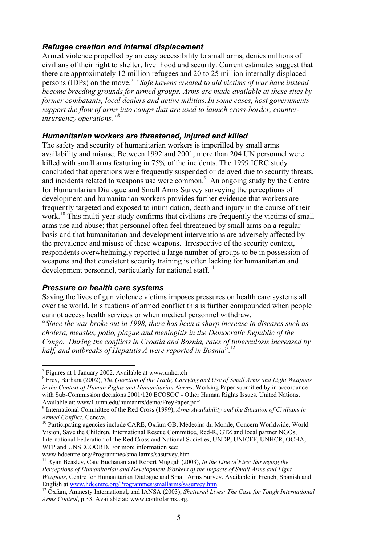#### *Refugee creation and internal displacement*

Armed violence propelled by an easy accessibility to small arms, denies millions of civilians of their right to shelter, livelihood and security. Current estimates suggest that there are approximately 12 million refugees and 20 to 25 million internally displaced persons (IDPs) on the move.<sup>7</sup> *"Safe havens created to aid victims of war have instead become breeding grounds for armed groups. Arms are made available at these sites by former combatants, local dealers and active militias.In some cases, host governments support the flow of arms into camps that are used to launch cross-border, counterinsurgency operations."*<sup>8</sup>

#### *Humanitarian workers are threatened, injured and killed*

The safety and security of humanitarian workers is imperilled by small arms availability and misuse. Between 1992 and 2001, more than 204 UN personnel were killed with small arms featuring in 75% of the incidents. The 1999 ICRC study concluded that operations were frequently suspended or delayed due to security threats, and incidents related to weapons use were common.<sup>9</sup> An ongoing study by the Centre for Humanitarian Dialogue and Small Arms Survey surveying the perceptions of development and humanitarian workers provides further evidence that workers are frequently targeted and exposed to intimidation, death and injury in the course of their work.<sup>10</sup> This multi-year study confirms that civilians are frequently the victims of small arms use and abuse; that personnel often feel threatened by small arms on a regular basis and that humanitarian and development interventions are adversely affected by the prevalence and misuse of these weapons. Irrespective of the security context, respondents overwhelmingly reported a large number of groups to be in possession of weapons and that consistent security training is often lacking for humanitarian and development personnel, particularly for national staff.<sup>11</sup>

#### *Pressure on health care systems*

Saving the lives of gun violence victims imposes pressures on health care systems all over the world. In situations of armed conflict this is further compounded when people cannot access health services or when medical personnel withdraw.

"*Since the war broke out in 1998, there has been a sharp increase in diseases such as cholera, measles, polio, plague and meningitis in the Democratic Republic of the Congo. During the conflicts in Croatia and Bosnia, rates of tuberculosis increased by half, and outbreaks of Hepatitis A were reported in Bosnia*".12

 $\overline{a}$ 

www.hdcentre.org/Programmes/smallarms/sasurvey.htm 11 Ryan Beasley, Cate Buchanan and Robert Muggah (2003), *In the Line of Fire: Surveying the Perceptions of Humanitarian and Development Workers of the Impacts of Small Arms and Light Weapons*, Centre for Humanitarian Dialogue and Small Arms Survey. Available in French, Spanish and English at www.hdcentre.org/Programmes/smallarms/sasurvey.htm<br><sup>12</sup> Oxfam, Amnesty International, and IANSA (2003), *Shattered Lives: The Case for Tough International* 

<sup>&</sup>lt;sup>7</sup> Figures at 1 January 2002. Available at www.unhcr.ch

<sup>8</sup> Frey, Barbara (2002), *The Question of the Trade, Carrying and Use of Small Arms and Light Weapons in the Context of Human Rights and Humanitarian Norms*. Working Paper submitted by in accordance with Sub-Commission decisions 2001/120 ECOSOC - Other Human Rights Issues. United Nations. Available at: www1.umn.edu/humanrts/demo/FreyPaper.pdf<br><sup>9</sup> International Committee of the Red Cross (1999), *Arms Availability and the Situation of Civilians in* 

*Armed Conflict*, Geneva.<br><sup>10</sup> Participating agencies include CARE, Oxfam GB, Médecins du Monde, Concern Worldwide, World

Vision, Save the Children, International Rescue Committee, Red-R, GTZ and local partner NGOs, International Federation of the Red Cross and National Societies, UNDP, UNICEF, UNHCR, OCHA, WFP and UNSECOORD. For more information see:

*Arms Control*, p.33. Available at: www.controlarms.org.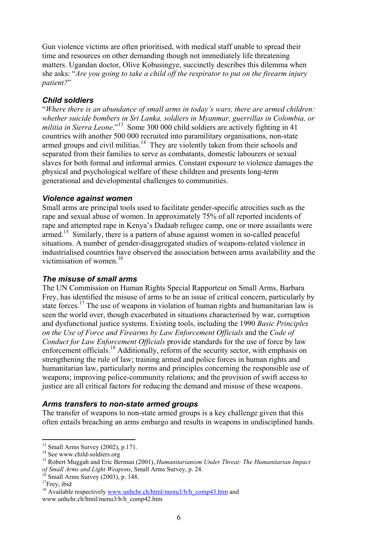Gun violence victims are often prioritised, with medical staff unable to spread their time and resources on other demanding though not immediately life threatening matters. Ugandan doctor, Olive Kobusingye, succinctly describes this dilemma when she asks: "*Are you going to take a child off the respirator to put on the firearm injury patient?*"

## *Child soldiers*

"*Where there is an abundance of small arms in today's wars, there are armed children: whether suicide bombers in Sri Lanka, soldiers in Myanmar, guerrillas in Colombia, or militia in Sierra Leone*."13 Some 300 000 child soldiers are actively fighting in 41 countries with another 500 000 recruited into paramilitary organisations, non-state armed groups and civil militias.<sup>14</sup> They are violently taken from their schools and separated from their families to serve as combatants, domestic labourers or sexual slaves for both formal and informal armies. Constant exposure to violence damages the physical and psychological welfare of these children and presents long-term generational and developmental challenges to communities.

### *Violence against women*

Small arms are principal tools used to facilitate gender-specific atrocities such as the rape and sexual abuse of women. In approximately 75% of all reported incidents of rape and attempted rape in Kenya's Dadaab refugee camp, one or more assailants were armed.<sup>15</sup> Similarly, there is a pattern of abuse against women in so-called peaceful situations. A number of gender-disaggregated studies of weapons-related violence in industrialised countries have observed the association between arms availability and the victimisation of women.<sup>16</sup>

## *The misuse of small arms*

The UN Commission on Human Rights Special Rapporteur on Small Arms, Barbara Frey, has identified the misuse of arms to be an issue of critical concern, particularly by state forces.<sup>17</sup> The use of weapons in violation of human rights and humanitarian law is seen the world over, though exacerbated in situations characterised by war, corruption and dysfunctional justice systems. Existing tools, including the 1990 *Basic Principles on the Use of Force and Firearms by Law Enforcement Officials* and the *Code of Conduct for Law Enforcement Officials* provide standards for the use of force by law enforcement officials.<sup>18</sup> Additionally, reform of the security sector, with emphasis on strengthening the rule of law; training armed and police forces in human rights and humanitarian law, particularly norms and principles concerning the responsible use of weapons; improving police-community relations; and the provision of swift access to justice are all critical factors for reducing the demand and misuse of these weapons.

## *Arms transfers to non-state armed groups*

The transfer of weapons to non-state armed groups is a key challenge given that this often entails breaching an arms embargo and results in weapons in undisciplined hands.

 $\overline{a}$ 

 $13$  Small Arms Survey (2002), p.171.

<sup>&</sup>lt;sup>14</sup> See www.child-soldiers.org

<sup>15</sup> Robert Muggah and Eric Berman (2001), *Humanitarianism Under Threat: The Humanitarian Impact of Small Arms and Light Weapons*, Small Arms Survey, p. 24. <sup>16</sup> Small Arms Survey (2003), p. 148.

<sup>&</sup>lt;sup>17</sup>Frey, ibid

<sup>&</sup>lt;sup>18</sup> Available respectively www.unhchr.ch/html/menu3/b/h\_comp43.htm and www.unhchr.ch/html/menu3/b/h\_comp42.htm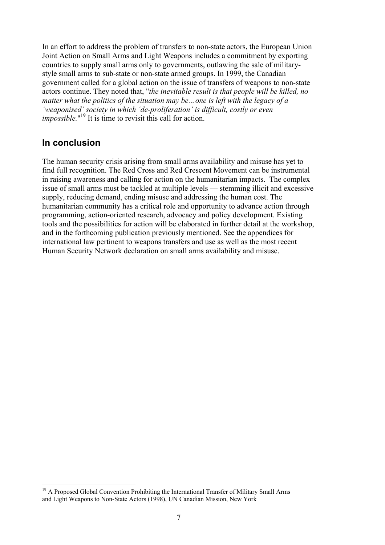In an effort to address the problem of transfers to non-state actors, the European Union Joint Action on Small Arms and Light Weapons includes a commitment by exporting countries to supply small arms only to governments, outlawing the sale of militarystyle small arms to sub-state or non-state armed groups. In 1999, the Canadian government called for a global action on the issue of transfers of weapons to non-state actors continue. They noted that, "*the inevitable result is that people will be killed, no matter what the politics of the situation may be…one is left with the legacy of a 'weaponised' society in which 'de-proliferation' is difficult, costly or even impossible*."<sup>19</sup> It is time to revisit this call for action.

## **In conclusion**

 $\overline{a}$ 

The human security crisis arising from small arms availability and misuse has yet to find full recognition. The Red Cross and Red Crescent Movement can be instrumental in raising awareness and calling for action on the humanitarian impacts. The complex issue of small arms must be tackled at multiple levels — stemming illicit and excessive supply, reducing demand, ending misuse and addressing the human cost. The humanitarian community has a critical role and opportunity to advance action through programming, action-oriented research, advocacy and policy development. Existing tools and the possibilities for action will be elaborated in further detail at the workshop, and in the forthcoming publication previously mentioned. See the appendices for international law pertinent to weapons transfers and use as well as the most recent Human Security Network declaration on small arms availability and misuse.

<sup>&</sup>lt;sup>19</sup> A Proposed Global Convention Prohibiting the International Transfer of Military Small Arms and Light Weapons to Non-State Actors (1998), UN Canadian Mission, New York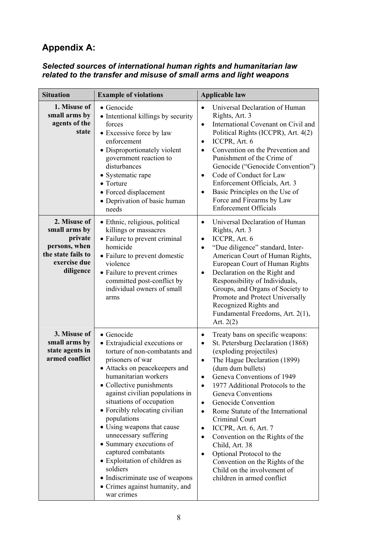# **Appendix A:**

### *Selected sources of international human rights and humanitarian law related to the transfer and misuse of small arms and light weapons*

| <b>Situation</b>                                                                                             | <b>Example of violations</b>                                                                                                                                                                                                                                                                                                                                                                                                                                                                                                                   | <b>Applicable law</b>                                                                                                                                                                                                                                                                                                                                                                                                                                                                                                                                                                                                                                                          |
|--------------------------------------------------------------------------------------------------------------|------------------------------------------------------------------------------------------------------------------------------------------------------------------------------------------------------------------------------------------------------------------------------------------------------------------------------------------------------------------------------------------------------------------------------------------------------------------------------------------------------------------------------------------------|--------------------------------------------------------------------------------------------------------------------------------------------------------------------------------------------------------------------------------------------------------------------------------------------------------------------------------------------------------------------------------------------------------------------------------------------------------------------------------------------------------------------------------------------------------------------------------------------------------------------------------------------------------------------------------|
| 1. Misuse of<br>small arms by<br>agents of the<br>state                                                      | • Genocide<br>• Intentional killings by security<br>forces<br>• Excessive force by law<br>enforcement<br>• Disproportionately violent<br>government reaction to<br>disturbances<br>• Systematic rape<br>$\bullet$ Torture<br>• Forced displacement<br>• Deprivation of basic human<br>needs                                                                                                                                                                                                                                                    | Universal Declaration of Human<br>$\bullet$<br>Rights, Art. 3<br>International Covenant on Civil and<br>$\bullet$<br>Political Rights (ICCPR), Art. 4(2)<br>ICCPR, Art. 6<br>$\bullet$<br>Convention on the Prevention and<br>$\bullet$<br>Punishment of the Crime of<br>Genocide ("Genocide Convention")<br>Code of Conduct for Law<br>$\bullet$<br>Enforcement Officials, Art. 3<br>Basic Principles on the Use of<br>$\bullet$<br>Force and Firearms by Law<br><b>Enforcement Officials</b>                                                                                                                                                                                 |
| 2. Misuse of<br>small arms by<br>private<br>persons, when<br>the state fails to<br>exercise due<br>diligence | • Ethnic, religious, political<br>killings or massacres<br>• Failure to prevent criminal<br>homicide<br>• Failure to prevent domestic<br>violence<br>• Failure to prevent crimes<br>committed post-conflict by<br>individual owners of small<br>arms                                                                                                                                                                                                                                                                                           | Universal Declaration of Human<br>$\bullet$<br>Rights, Art. 3<br>ICCPR, Art. 6<br>$\bullet$<br>"Due diligence" standard, Inter-<br>$\bullet$<br>American Court of Human Rights,<br>European Court of Human Rights<br>Declaration on the Right and<br>$\bullet$<br>Responsibility of Individuals,<br>Groups, and Organs of Society to<br>Promote and Protect Universally<br>Recognized Rights and<br>Fundamental Freedoms, Art. 2(1),<br>Art. $2(2)$                                                                                                                                                                                                                            |
| 3. Misuse of<br>small arms by<br>state agents in<br>armed conflict                                           | • Genocide<br>• Extrajudicial executions or<br>torture of non-combatants and<br>prisoners of war<br>• Attacks on peacekeepers and<br>humanitarian workers<br>• Collective punishments<br>against civilian populations in<br>situations of occupation<br>• Forcibly relocating civilian<br>populations<br>• Using weapons that cause<br>unnecessary suffering<br>• Summary executions of<br>captured combatants<br>• Exploitation of children as<br>soldiers<br>• Indiscriminate use of weapons<br>• Crimes against humanity, and<br>war crimes | Treaty bans on specific weapons:<br>$\bullet$<br>St. Petersburg Declaration (1868)<br>$\bullet$<br>(exploding projectiles)<br>The Hague Declaration (1899)<br>$\bullet$<br>(dum dum bullets)<br>Geneva Conventions of 1949<br>$\bullet$<br>1977 Additional Protocols to the<br>$\bullet$<br><b>Geneva Conventions</b><br>Genocide Convention<br>$\bullet$<br>Rome Statute of the International<br>$\bullet$<br>Criminal Court<br>ICCPR, Art. 6, Art. 7<br>$\bullet$<br>Convention on the Rights of the<br>$\bullet$<br>Child, Art. 38<br>Optional Protocol to the<br>$\bullet$<br>Convention on the Rights of the<br>Child on the involvement of<br>children in armed conflict |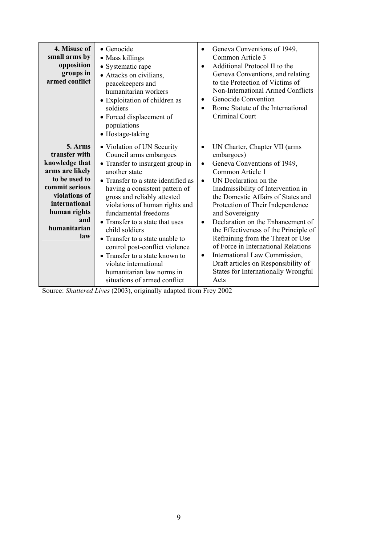| 4. Misuse of<br>small arms by<br>opposition<br>groups in<br>armed conflict                                                                                                       | $\bullet$ Genocide<br>• Mass killings<br>• Systematic rape<br>• Attacks on civilians,<br>peacekeepers and<br>humanitarian workers<br>• Exploitation of children as<br>soldiers<br>• Forced displacement of<br>populations<br>• Hostage-taking                                                                                                                                                                                                                                                                                 | Geneva Conventions of 1949,<br>Common Article 3<br>Additional Protocol II to the<br>$\bullet$<br>Geneva Conventions, and relating<br>to the Protection of Victims of<br>Non-International Armed Conflicts<br>Genocide Convention<br>$\bullet$<br>Rome Statute of the International<br>$\bullet$<br>Criminal Court                                                                                                                                                                                                                                                                                            |
|----------------------------------------------------------------------------------------------------------------------------------------------------------------------------------|-------------------------------------------------------------------------------------------------------------------------------------------------------------------------------------------------------------------------------------------------------------------------------------------------------------------------------------------------------------------------------------------------------------------------------------------------------------------------------------------------------------------------------|--------------------------------------------------------------------------------------------------------------------------------------------------------------------------------------------------------------------------------------------------------------------------------------------------------------------------------------------------------------------------------------------------------------------------------------------------------------------------------------------------------------------------------------------------------------------------------------------------------------|
| 5. Arms<br>transfer with<br>knowledge that<br>arms are likely<br>to be used to<br>commit serious<br>violations of<br>international<br>human rights<br>and<br>humanitarian<br>law | • Violation of UN Security<br>Council arms embargoes<br>• Transfer to insurgent group in<br>another state<br>• Transfer to a state identified as<br>having a consistent pattern of<br>gross and reliably attested<br>violations of human rights and<br>fundamental freedoms<br>• Transfer to a state that uses<br>child soldiers<br>• Transfer to a state unable to<br>control post-conflict violence<br>• Transfer to a state known to<br>violate international<br>humanitarian law norms in<br>situations of armed conflict | UN Charter, Chapter VII (arms<br>$\bullet$<br>embargoes)<br>Geneva Conventions of 1949,<br>$\bullet$<br>Common Article 1<br>UN Declaration on the<br>$\bullet$<br>Inadmissibility of Intervention in<br>the Domestic Affairs of States and<br>Protection of Their Independence<br>and Sovereignty<br>Declaration on the Enhancement of<br>$\bullet$<br>the Effectiveness of the Principle of<br>Refraining from the Threat or Use<br>of Force in International Relations<br>International Law Commission,<br>$\bullet$<br>Draft articles on Responsibility of<br>States for Internationally Wrongful<br>Acts |

Source: *Shattered Lives* (2003), originally adapted from Frey 2002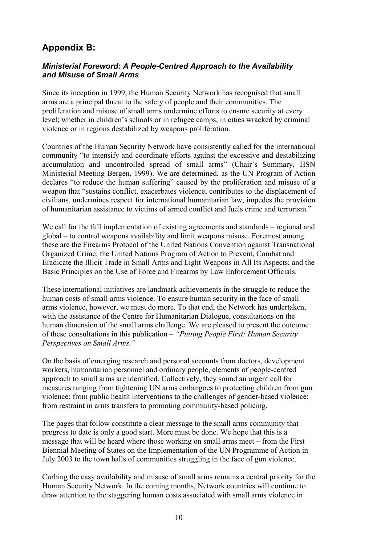## **Appendix B:**

## *Ministerial Foreword: A People-Centred Approach to the Availability and Misuse of Small Arms*

Since its inception in 1999, the Human Security Network has recognised that small arms are a principal threat to the safety of people and their communities. The proliferation and misuse of small arms undermine efforts to ensure security at every level; whether in children's schools or in refugee camps, in cities wracked by criminal violence or in regions destabilized by weapons proliferation.

Countries of the Human Security Network have consistently called for the international community "to intensify and coordinate efforts against the excessive and destabilizing accumulation and uncontrolled spread of small arms" (Chair's Summary, HSN Ministerial Meeting Bergen, 1999). We are determined, as the UN Program of Action declares "to reduce the human suffering" caused by the proliferation and misuse of a weapon that "sustains conflict, exacerbates violence, contributes to the displacement of civilians, undermines respect for international humanitarian law, impedes the provision of humanitarian assistance to victims of armed conflict and fuels crime and terrorism."

We call for the full implementation of existing agreements and standards – regional and global – to control weapons availability and limit weapons misuse. Foremost among these are the Firearms Protocol of the United Nations Convention against Transnational Organized Crime; the United Nations Program of Action to Prevent, Combat and Eradicate the Illicit Trade in Small Arms and Light Weapons in All Its Aspects; and the Basic Principles on the Use of Force and Firearms by Law Enforcement Officials.

These international initiatives are landmark achievements in the struggle to reduce the human costs of small arms violence. To ensure human security in the face of small arms violence, however, we must do more. To that end, the Network has undertaken, with the assistance of the Centre for Humanitarian Dialogue, consultations on the human dimension of the small arms challenge. We are pleased to present the outcome of these consultations in this publication – *"Putting People First: Human Security Perspectives on Small Arms."* 

On the basis of emerging research and personal accounts from doctors, development workers, humanitarian personnel and ordinary people, elements of people-centred approach to small arms are identified. Collectively, they sound an urgent call for measures ranging from tightening UN arms embargoes to protecting children from gun violence; from public health interventions to the challenges of gender-based violence; from restraint in arms transfers to promoting community-based policing.

The pages that follow constitute a clear message to the small arms community that progress to date is only a good start. More must be done. We hope that this is a message that will be heard where those working on small arms meet – from the First Biennial Meeting of States on the Implementation of the UN Programme of Action in July 2003 to the town halls of communities struggling in the face of gun violence.

Curbing the easy availability and misuse of small arms remains a central priority for the Human Security Network. In the coming months, Network countries will continue to draw attention to the staggering human costs associated with small arms violence in